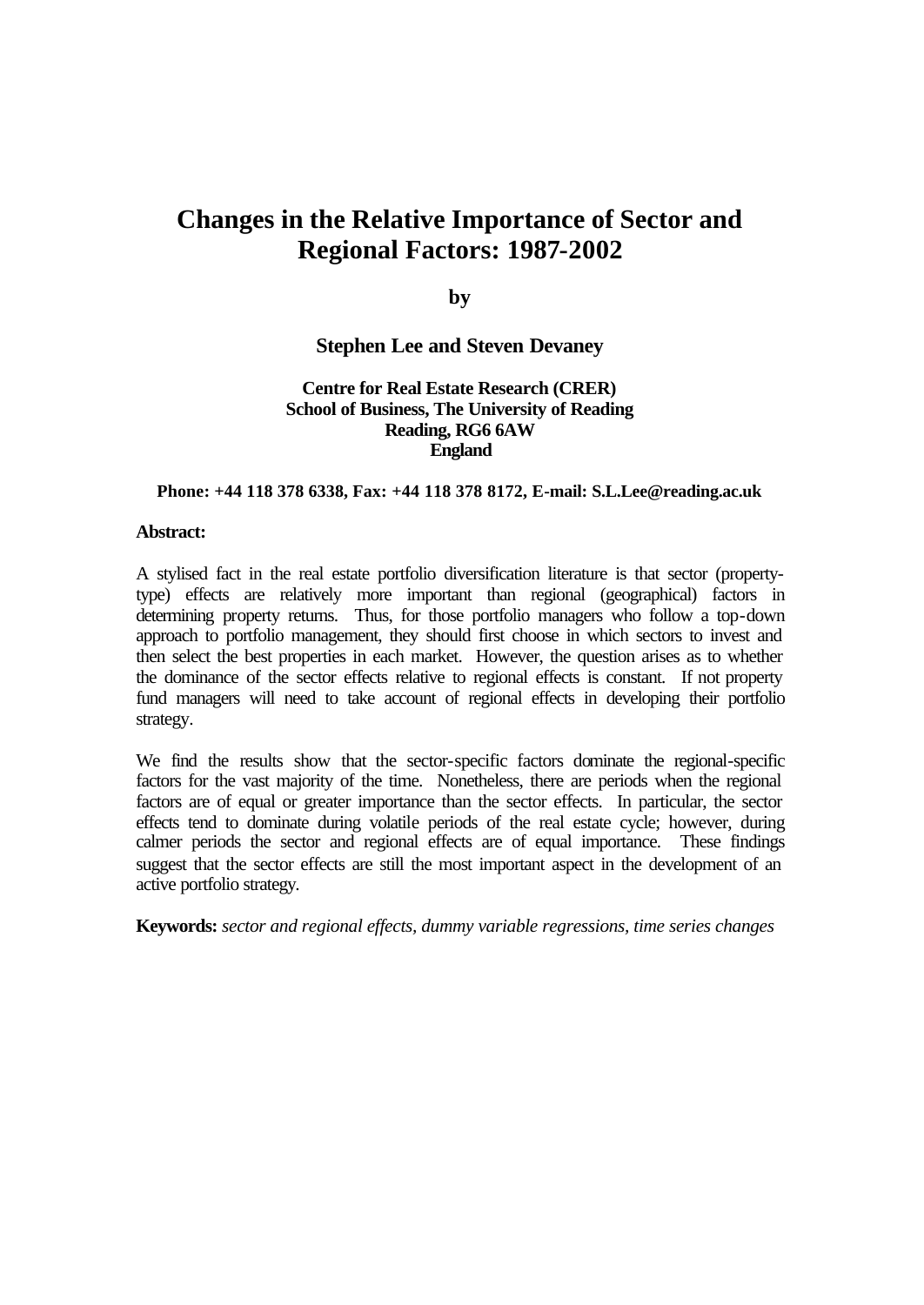# **Changes in the Relative Importance of Sector and Regional Factors: 1987-2002**

**by**

#### **Stephen Lee and Steven Devaney**

#### **Centre for Real Estate Research (CRER) School of Business, The University of Reading Reading, RG6 6AW England**

#### **Phone: +44 118 378 6338, Fax: +44 118 378 8172, E-mail: S.L.Lee@reading.ac.uk**

#### **Abstract:**

A stylised fact in the real estate portfolio diversification literature is that sector (propertytype) effects are relatively more important than regional (geographical) factors in determining property returns. Thus, for those portfolio managers who follow a top-down approach to portfolio management, they should first choose in which sectors to invest and then select the best properties in each market. However, the question arises as to whether the dominance of the sector effects relative to regional effects is constant. If not property fund managers will need to take account of regional effects in developing their portfolio strategy.

We find the results show that the sector-specific factors dominate the regional-specific factors for the vast majority of the time. Nonetheless, there are periods when the regional factors are of equal or greater importance than the sector effects. In particular, the sector effects tend to dominate during volatile periods of the real estate cycle; however, during calmer periods the sector and regional effects are of equal importance. These findings suggest that the sector effects are still the most important aspect in the development of an active portfolio strategy.

**Keywords:** *sector and regional effects, dummy variable regressions, time series changes*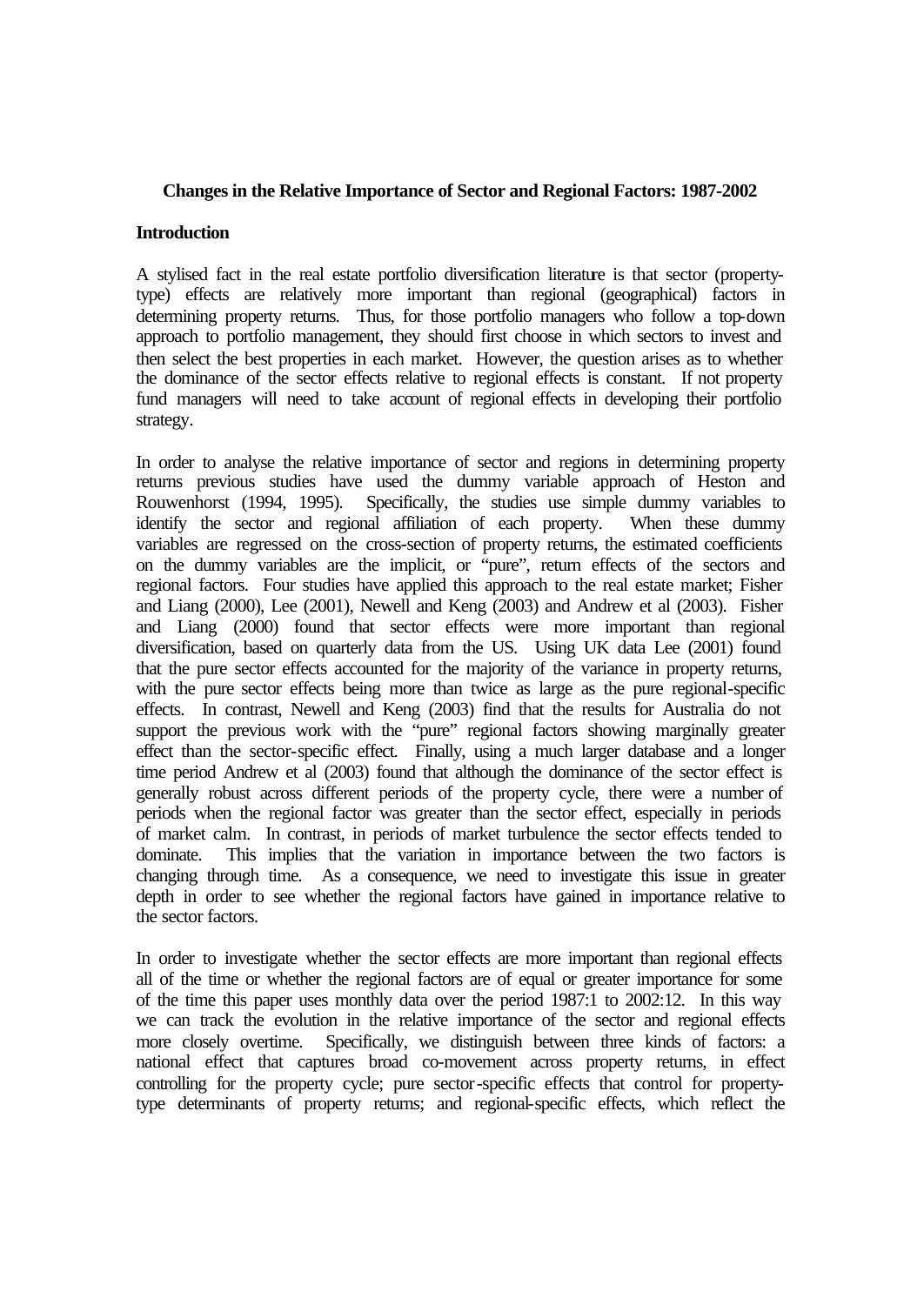#### **Changes in the Relative Importance of Sector and Regional Factors: 1987-2002**

#### **Introduction**

A stylised fact in the real estate portfolio diversification literature is that sector (propertytype) effects are relatively more important than regional (geographical) factors in determining property returns. Thus, for those portfolio managers who follow a top-down approach to portfolio management, they should first choose in which sectors to invest and then select the best properties in each market. However, the question arises as to whether the dominance of the sector effects relative to regional effects is constant. If not property fund managers will need to take account of regional effects in developing their portfolio strategy.

In order to analyse the relative importance of sector and regions in determining property returns previous studies have used the dummy variable approach of Heston and Rouwenhorst (1994, 1995). Specifically, the studies use simple dummy variables to identify the sector and regional affiliation of each property. When these dummy variables are regressed on the cross-section of property returns, the estimated coefficients on the dummy variables are the implicit, or "pure", return effects of the sectors and regional factors. Four studies have applied this approach to the real estate market; Fisher and Liang (2000), Lee (2001), Newell and Keng (2003) and Andrew et al (2003). Fisher and Liang (2000) found that sector effects were more important than regional diversification, based on quarterly data from the US. Using UK data Lee (2001) found that the pure sector effects accounted for the majority of the variance in property returns, with the pure sector effects being more than twice as large as the pure regional-specific effects. In contrast, Newell and Keng (2003) find that the results for Australia do not support the previous work with the "pure" regional factors showing marginally greater effect than the sector-specific effect. Finally, using a much larger database and a longer time period Andrew et al (2003) found that although the dominance of the sector effect is generally robust across different periods of the property cycle, there were a number of periods when the regional factor was greater than the sector effect, especially in periods of market calm. In contrast, in periods of market turbulence the sector effects tended to dominate. This implies that the variation in importance between the two factors is changing through time. As a consequence, we need to investigate this issue in greater depth in order to see whether the regional factors have gained in importance relative to the sector factors.

In order to investigate whether the sector effects are more important than regional effects all of the time or whether the regional factors are of equal or greater importance for some of the time this paper uses monthly data over the period 1987:1 to 2002:12. In this way we can track the evolution in the relative importance of the sector and regional effects more closely overtime. Specifically, we distinguish between three kinds of factors: a national effect that captures broad co-movement across property returns, in effect controlling for the property cycle; pure sector-specific effects that control for propertytype determinants of property returns; and regional-specific effects, which reflect the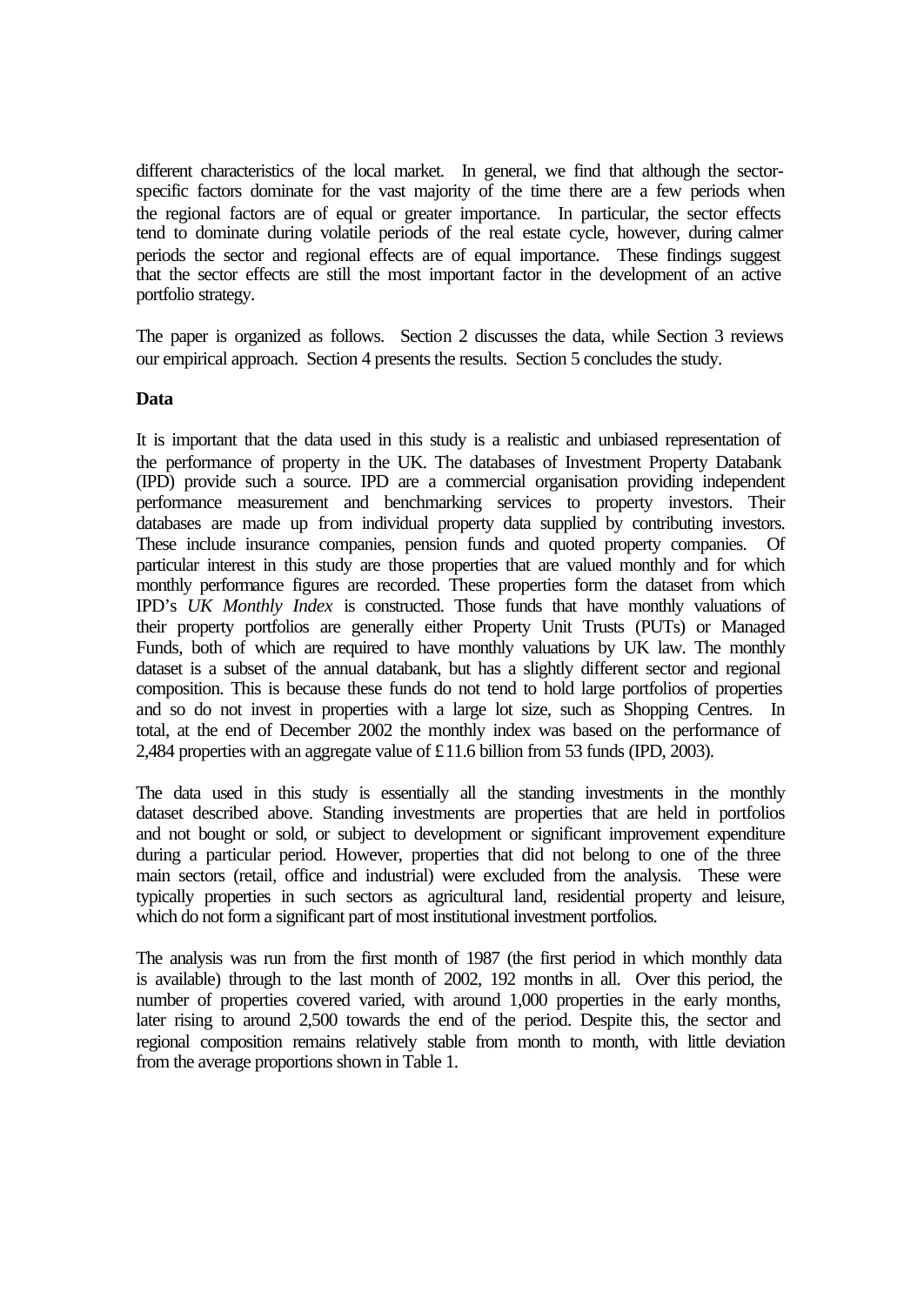different characteristics of the local market. In general, we find that although the sectorspecific factors dominate for the vast majority of the time there are a few periods when the regional factors are of equal or greater importance. In particular, the sector effects tend to dominate during volatile periods of the real estate cycle, however, during calmer periods the sector and regional effects are of equal importance. These findings suggest that the sector effects are still the most important factor in the development of an active portfolio strategy.

The paper is organized as follows. Section 2 discusses the data, while Section 3 reviews our empirical approach. Section 4 presents the results. Section 5 concludes the study.

#### **Data**

It is important that the data used in this study is a realistic and unbiased representation of the performance of property in the UK. The databases of Investment Property Databank (IPD) provide such a source. IPD are a commercial organisation providing independent performance measurement and benchmarking services to property investors. Their databases are made up from individual property data supplied by contributing investors. These include insurance companies, pension funds and quoted property companies. Of particular interest in this study are those properties that are valued monthly and for which monthly performance figures are recorded. These properties form the dataset from which IPD's *UK Monthly Index* is constructed. Those funds that have monthly valuations of their property portfolios are generally either Property Unit Trusts (PUTs) or Managed Funds, both of which are required to have monthly valuations by UK law. The monthly dataset is a subset of the annual databank, but has a slightly different sector and regional composition. This is because these funds do not tend to hold large portfolios of properties and so do not invest in properties with a large lot size, such as Shopping Centres. In total, at the end of December 2002 the monthly index was based on the performance of 2,484 properties with an aggregate value of £11.6 billion from 53 funds (IPD, 2003).

The data used in this study is essentially all the standing investments in the monthly dataset described above. Standing investments are properties that are held in portfolios and not bought or sold, or subject to development or significant improvement expenditure during a particular period. However, properties that did not belong to one of the three main sectors (retail, office and industrial) were excluded from the analysis. These were typically properties in such sectors as agricultural land, residential property and leisure, which do not form a significant part of most institutional investment portfolios.

The analysis was run from the first month of 1987 (the first period in which monthly data is available) through to the last month of 2002, 192 months in all. Over this period, the number of properties covered varied, with around 1,000 properties in the early months, later rising to around 2,500 towards the end of the period. Despite this, the sector and regional composition remains relatively stable from month to month, with little deviation from the average proportions shown in Table 1.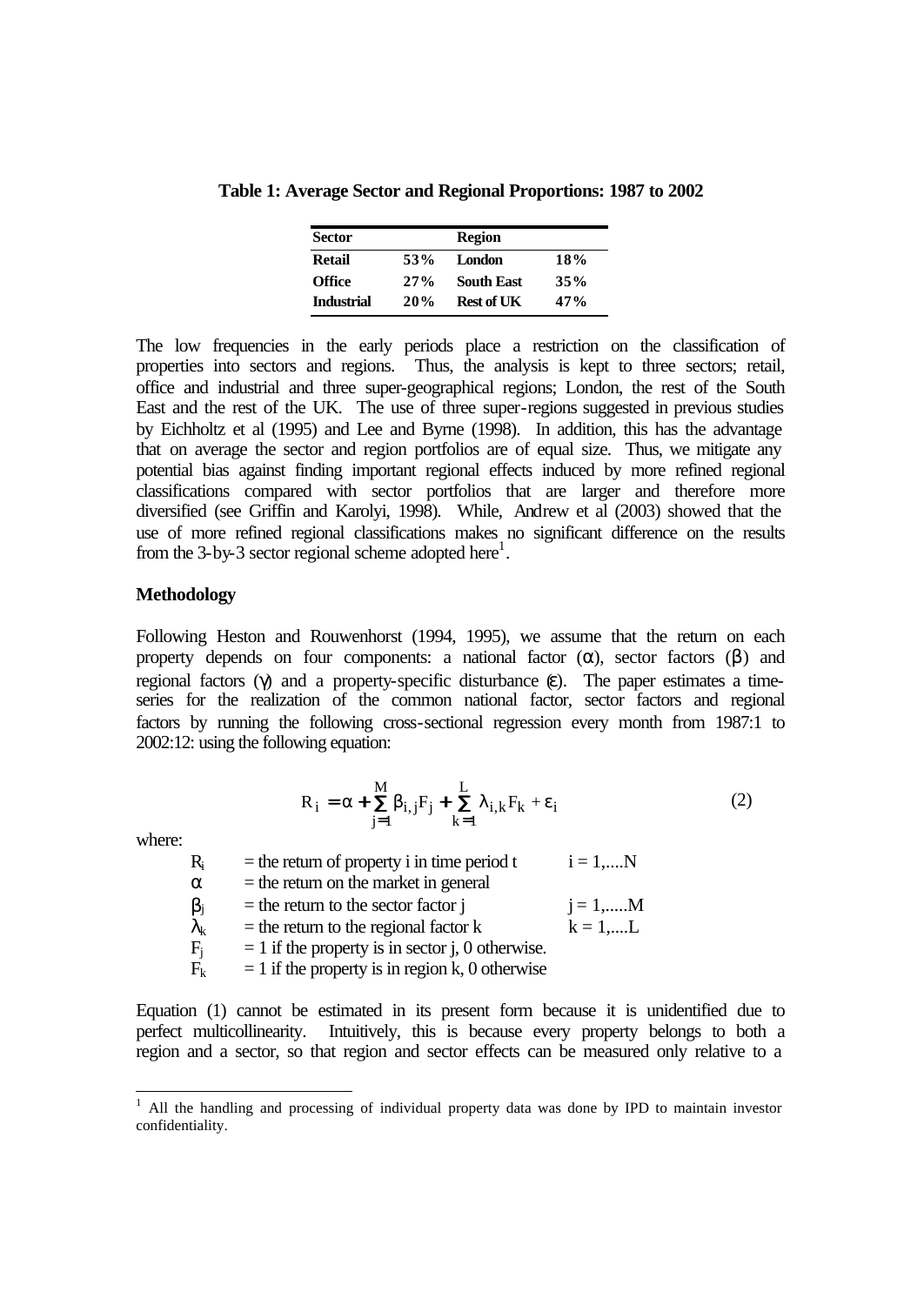**Table 1: Average Sector and Regional Proportions: 1987 to 2002**

| <b>Sector</b>     |     | <b>Region</b>     |     |  |
|-------------------|-----|-------------------|-----|--|
| <b>Retail</b>     | 53% | <b>London</b>     | 18% |  |
| <b>Office</b>     | 27% | <b>South East</b> | 35% |  |
| <b>Industrial</b> | 20% | Rest of UK        | 47% |  |

The low frequencies in the early periods place a restriction on the classification of properties into sectors and regions. Thus, the analysis is kept to three sectors; retail, office and industrial and three super-geographical regions; London, the rest of the South East and the rest of the UK. The use of three super-regions suggested in previous studies by Eichholtz et al (1995) and Lee and Byrne (1998). In addition, this has the advantage that on average the sector and region portfolios are of equal size. Thus, we mitigate any potential bias against finding important regional effects induced by more refined regional classifications compared with sector portfolios that are larger and therefore more diversified (see Griffin and Karolyi, 1998). While, Andrew et al (2003) showed that the use of more refined regional classifications makes no significant difference on the results from the 3-by-3 sector regional scheme adopted here<sup>1</sup>.

#### **Methodology**

Following Heston and Rouwenhorst (1994, 1995), we assume that the return on each property depends on four components: a national factor  $(\alpha)$ , sector factors  $(\beta)$  and regional factors (γ) and a property-specific disturbance  $ε$ ). The paper estimates a timeseries for the realization of the common national factor, sector factors and regional factors by running the following cross-sectional regression every month from 1987:1 to 2002:12: using the following equation:

$$
R_{i} = \alpha + \mathbf{\hat{a}} \beta_{i,j} F_{j} + \mathbf{\hat{a}} \lambda_{i,k} F_{k} + \varepsilon_{i}
$$
\n(2)

where:

l

| R.                | $=$ the return of property i in time period t      | $i = 1,N$         |
|-------------------|----------------------------------------------------|-------------------|
| α                 | $=$ the return on the market in general            |                   |
| $\beta_{\rm j}$   | $=$ the return to the sector factor j              | $i = 1, \dots M$  |
| $\lambda_{\rm k}$ | $=$ the return to the regional factor $k$          | $k = 1, \dots, L$ |
| $F_i$             | $= 1$ if the property is in sector j, 0 otherwise. |                   |
| $\rm{F}_k$        | $= 1$ if the property is in region k, 0 otherwise  |                   |

Equation (1) cannot be estimated in its present form because it is unidentified due to perfect multicollinearity. Intuitively, this is because every property belongs to both a region and a sector, so that region and sector effects can be measured only relative to a

<sup>&</sup>lt;sup>1</sup> All the handling and processing of individual property data was done by IPD to maintain investor confidentiality.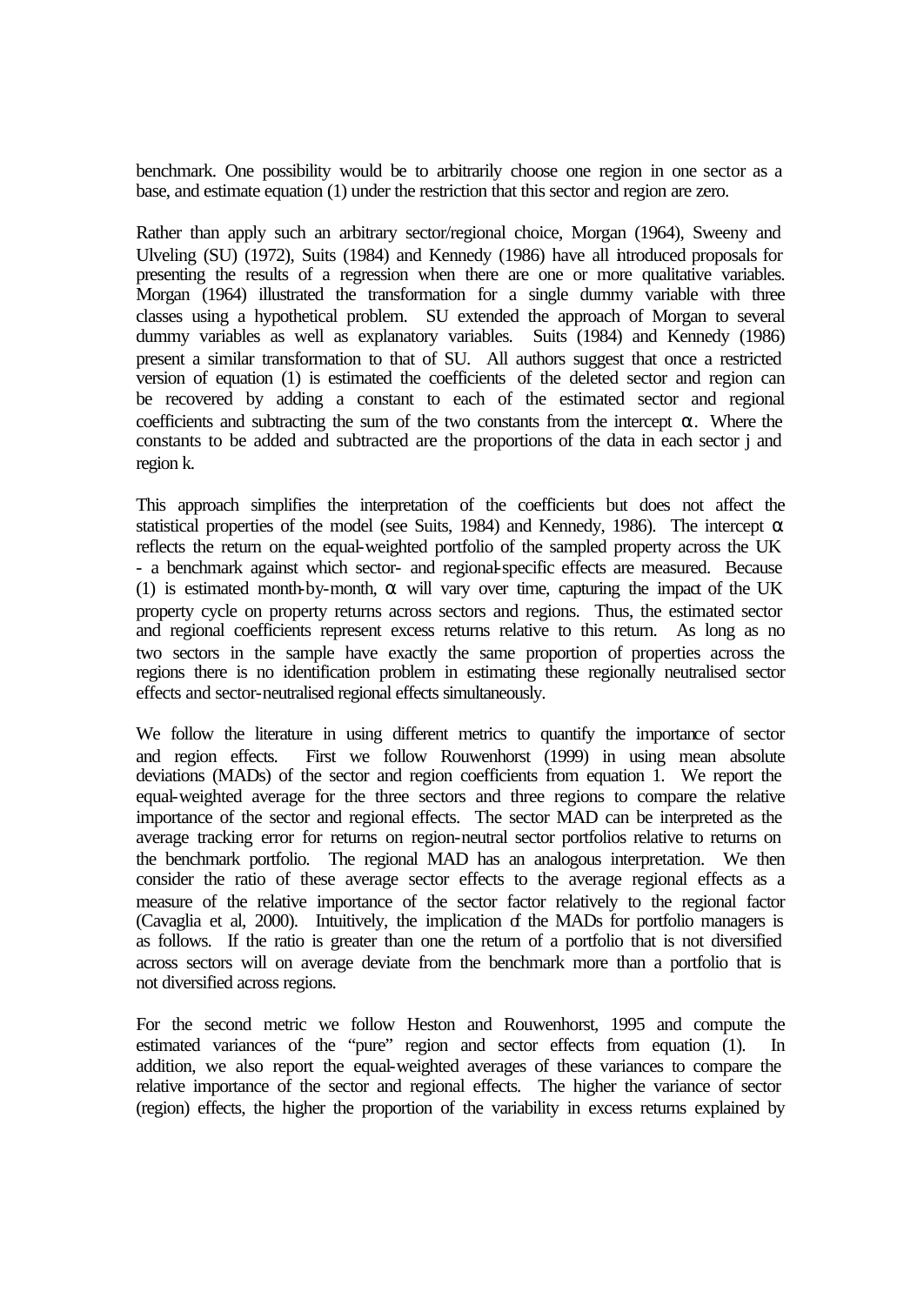benchmark. One possibility would be to arbitrarily choose one region in one sector as a base, and estimate equation (1) under the restriction that this sector and region are zero.

Rather than apply such an arbitrary sector/regional choice, Morgan (1964), Sweeny and Ulveling (SU) (1972), Suits (1984) and Kennedy (1986) have all introduced proposals for presenting the results of a regression when there are one or more qualitative variables. Morgan (1964) illustrated the transformation for a single dummy variable with three classes using a hypothetical problem. SU extended the approach of Morgan to several dummy variables as well as explanatory variables. Suits (1984) and Kennedy (1986) present a similar transformation to that of SU. All authors suggest that once a restricted version of equation (1) is estimated the coefficients of the deleted sector and region can be recovered by adding a constant to each of the estimated sector and regional coefficients and subtracting the sum of the two constants from the intercept  $\alpha$ . Where the constants to be added and subtracted are the proportions of the data in each sector j and region k.

This approach simplifies the interpretation of the coefficients but does not affect the statistical properties of the model (see Suits, 1984) and Kennedy, 1986). The intercept  $\alpha$ reflects the return on the equal-weighted portfolio of the sampled property across the UK - a benchmark against which sector- and regional-specific effects are measured. Because (1) is estimated month-by-month,  $\alpha$  will vary over time, capturing the impact of the UK property cycle on property returns across sectors and regions. Thus, the estimated sector and regional coefficients represent excess returns relative to this return. As long as no two sectors in the sample have exactly the same proportion of properties across the regions there is no identification problem in estimating these regionally neutralised sector effects and sector-neutralised regional effects simultaneously.

We follow the literature in using different metrics to quantify the importance of sector and region effects. First we follow Rouwenhorst (1999) in using mean absolute deviations (MADs) of the sector and region coefficients from equation 1. We report the equal-weighted average for the three sectors and three regions to compare the relative importance of the sector and regional effects. The sector MAD can be interpreted as the average tracking error for returns on region-neutral sector portfolios relative to returns on the benchmark portfolio. The regional MAD has an analogous interpretation. We then consider the ratio of these average sector effects to the average regional effects as a measure of the relative importance of the sector factor relatively to the regional factor (Cavaglia et al, 2000). Intuitively, the implication of the MADs for portfolio managers is as follows. If the ratio is greater than one the return of a portfolio that is not diversified across sectors will on average deviate from the benchmark more than a portfolio that is not diversified across regions.

For the second metric we follow Heston and Rouwenhorst, 1995 and compute the estimated variances of the "pure" region and sector effects from equation (1). In addition, we also report the equal-weighted averages of these variances to compare the relative importance of the sector and regional effects. The higher the variance of sector (region) effects, the higher the proportion of the variability in excess returns explained by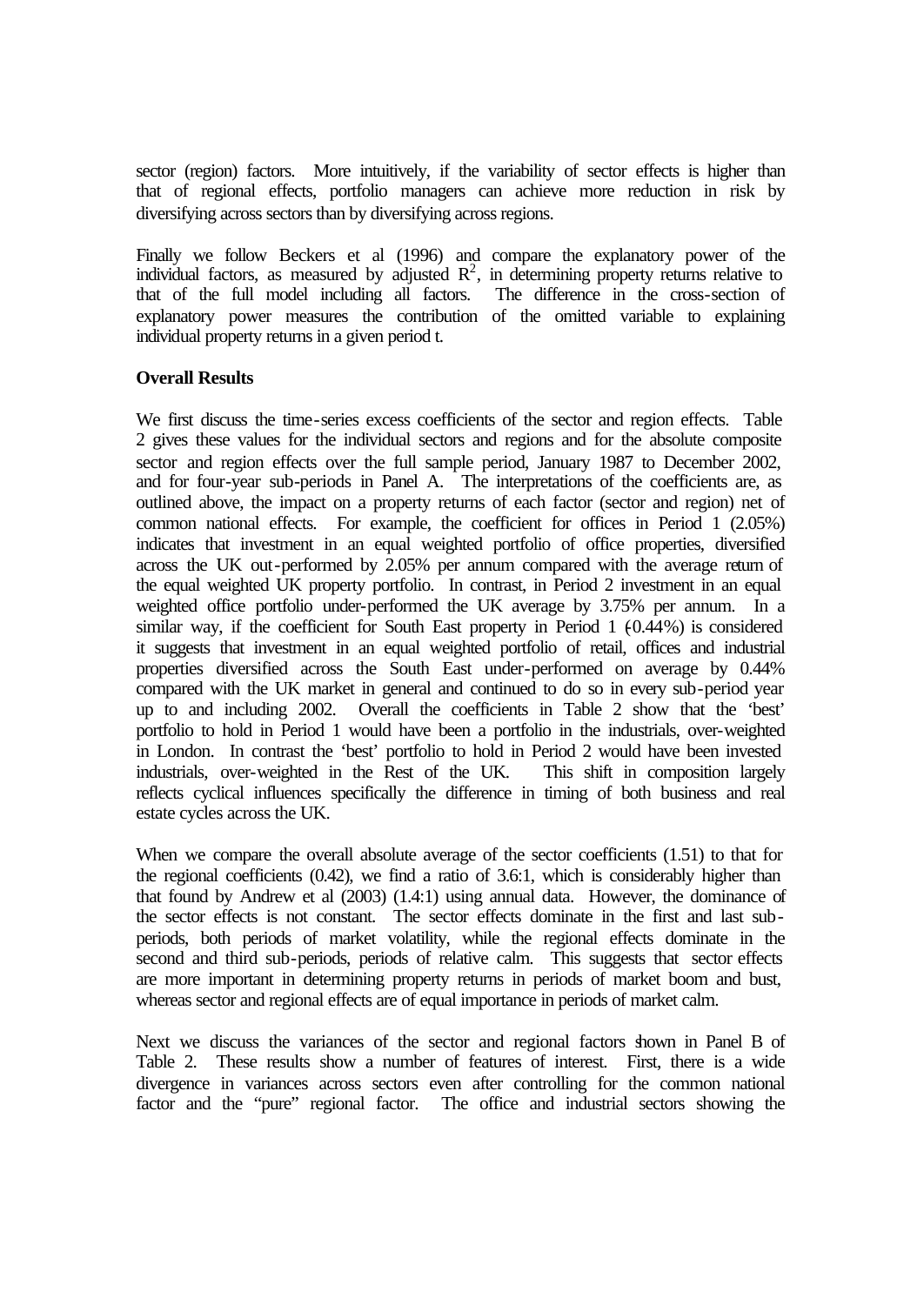sector (region) factors. More intuitively, if the variability of sector effects is higher than that of regional effects, portfolio managers can achieve more reduction in risk by diversifying across sectors than by diversifying across regions.

Finally we follow Beckers et al (1996) and compare the explanatory power of the individual factors, as measured by adjusted  $\mathbb{R}^2$ , in determining property returns relative to that of the full model including all factors. The difference in the cross-section of explanatory power measures the contribution of the omitted variable to explaining individual property returns in a given period t.

#### **Overall Results**

We first discuss the time-series excess coefficients of the sector and region effects. Table 2 gives these values for the individual sectors and regions and for the absolute composite sector and region effects over the full sample period, January 1987 to December 2002, and for four-year sub-periods in Panel A. The interpretations of the coefficients are, as outlined above, the impact on a property returns of each factor (sector and region) net of common national effects. For example, the coefficient for offices in Period 1 (2.05%) indicates that investment in an equal weighted portfolio of office properties, diversified across the UK out-performed by 2.05% per annum compared with the average return of the equal weighted UK property portfolio. In contrast, in Period 2 investment in an equal weighted office portfolio under-performed the UK average by 3.75% per annum. In a similar way, if the coefficient for South East property in Period  $1 (0.44\%)$  is considered it suggests that investment in an equal weighted portfolio of retail, offices and industrial properties diversified across the South East under-performed on average by 0.44% compared with the UK market in general and continued to do so in every sub-period year up to and including 2002. Overall the coefficients in Table 2 show that the 'best' portfolio to hold in Period 1 would have been a portfolio in the industrials, over-weighted in London. In contrast the 'best' portfolio to hold in Period 2 would have been invested industrials, over-weighted in the Rest of the UK. This shift in composition largely reflects cyclical influences specifically the difference in timing of both business and real estate cycles across the UK.

When we compare the overall absolute average of the sector coefficients (1.51) to that for the regional coefficients (0.42), we find a ratio of 3.6:1, which is considerably higher than that found by Andrew et al (2003) (1.4:1) using annual data. However, the dominance of the sector effects is not constant. The sector effects dominate in the first and last subperiods, both periods of market volatility, while the regional effects dominate in the second and third sub-periods, periods of relative calm. This suggests that sector effects are more important in determining property returns in periods of market boom and bust, whereas sector and regional effects are of equal importance in periods of market calm.

Next we discuss the variances of the sector and regional factors shown in Panel B of Table 2. These results show a number of features of interest. First, there is a wide divergence in variances across sectors even after controlling for the common national factor and the "pure" regional factor. The office and industrial sectors showing the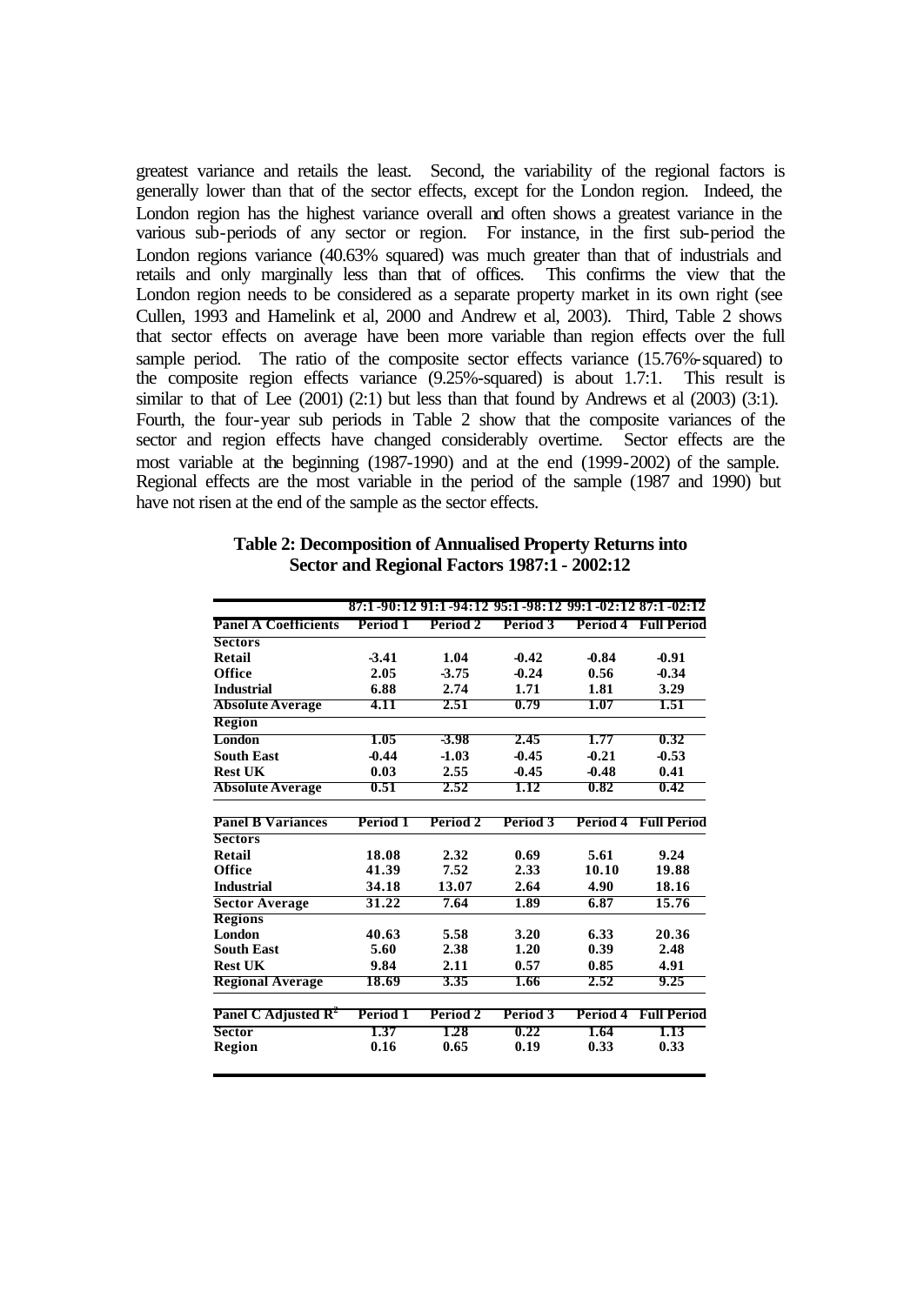greatest variance and retails the least. Second, the variability of the regional factors is generally lower than that of the sector effects, except for the London region. Indeed, the London region has the highest variance overall and often shows a greatest variance in the various sub-periods of any sector or region. For instance, in the first sub-period the London regions variance (40.63% squared) was much greater than that of industrials and retails and only marginally less than that of offices. This confirms the view that the London region needs to be considered as a separate property market in its own right (see Cullen, 1993 and Hamelink et al, 2000 and Andrew et al, 2003). Third, Table 2 shows that sector effects on average have been more variable than region effects over the full sample period. The ratio of the composite sector effects variance (15.76%-squared) to the composite region effects variance (9.25%-squared) is about 1.7:1. This result is similar to that of Lee  $(2001)$   $(2:1)$  but less than that found by Andrews et al  $(2003)$   $(3:1)$ . Fourth, the four-year sub periods in Table 2 show that the composite variances of the sector and region effects have changed considerably overtime. Sector effects are the most variable at the beginning (1987-1990) and at the end (1999-2002) of the sample. Regional effects are the most variable in the period of the sample (1987 and 1990) but have not risen at the end of the sample as the sector effects.

#### **Table 2: Decomposition of Annualised Property Returns into Sector and Regional Factors 1987:1 - 2002:12**

| <b>Panel A Coefficients</b><br><b>Sectors</b><br>Retail<br>Office<br><b>Industrial</b><br><b>Absolute Average</b><br><b>Region</b> | Period 1<br>$-3.41$<br>2.05<br>6.88<br>4.11<br>1.05<br>$-0.44$<br>0.03 | Period 2<br>1.04<br>$-3.75$<br>2.74<br>2.51<br>-3.98<br>$-1.03$ | Period 3<br>$-0.42$<br>$-0.24$<br>1.71<br>0.79<br>2.45 | Period 4<br>$-0.84$<br>0.56<br>1.81<br>1.07<br>1.77 | <b>Full Period</b><br>$-0.91$<br>$-0.34$<br>3.29<br>1.51<br>0.32 |
|------------------------------------------------------------------------------------------------------------------------------------|------------------------------------------------------------------------|-----------------------------------------------------------------|--------------------------------------------------------|-----------------------------------------------------|------------------------------------------------------------------|
|                                                                                                                                    |                                                                        |                                                                 |                                                        |                                                     |                                                                  |
|                                                                                                                                    |                                                                        |                                                                 |                                                        |                                                     |                                                                  |
|                                                                                                                                    |                                                                        |                                                                 |                                                        |                                                     |                                                                  |
|                                                                                                                                    |                                                                        |                                                                 |                                                        |                                                     |                                                                  |
|                                                                                                                                    |                                                                        |                                                                 |                                                        |                                                     |                                                                  |
|                                                                                                                                    |                                                                        |                                                                 |                                                        |                                                     |                                                                  |
|                                                                                                                                    |                                                                        |                                                                 |                                                        |                                                     |                                                                  |
| <b>London</b>                                                                                                                      |                                                                        |                                                                 |                                                        |                                                     |                                                                  |
| <b>South East</b>                                                                                                                  |                                                                        |                                                                 | $-0.45$                                                | $-0.21$                                             | $-0.53$                                                          |
| <b>Rest UK</b>                                                                                                                     |                                                                        | 2.55                                                            | $-0.45$                                                | $-0.48$                                             | 0.41                                                             |
| <b>Absolute Average</b>                                                                                                            | 0.51                                                                   | 2.52                                                            | 1.12                                                   | 0.82                                                | 0.42                                                             |
| <b>Panel B Variances</b>                                                                                                           | Period 1                                                               | Period 2                                                        | Period 3                                               |                                                     | <b>Period 4 Full Period</b>                                      |
| <b>Sectors</b>                                                                                                                     |                                                                        |                                                                 |                                                        |                                                     |                                                                  |
| <b>Retail</b>                                                                                                                      | 18.08                                                                  | 2.32                                                            | 0.69                                                   | 5.61                                                | 9.24                                                             |
| Office                                                                                                                             | 41.39                                                                  | 7.52                                                            | 2.33                                                   | 10.10                                               | 19.88                                                            |
| <b>Industrial</b>                                                                                                                  | 34.18                                                                  | 13.07                                                           | 2.64                                                   | 4.90                                                | 18.16                                                            |
| <b>Sector Average</b>                                                                                                              | 31.22                                                                  | 7.64                                                            | 1.89                                                   | 6.87                                                | 15.76                                                            |
| <b>Regions</b>                                                                                                                     |                                                                        |                                                                 |                                                        |                                                     |                                                                  |
| <b>London</b>                                                                                                                      | 40.63                                                                  | 5.58                                                            | 3.20                                                   | 6.33                                                | 20.36                                                            |
| <b>South East</b>                                                                                                                  | 5.60                                                                   | 2.38                                                            | 1.20                                                   | 0.39                                                | 2.48                                                             |
| <b>Rest UK</b>                                                                                                                     | 9.84                                                                   | 2.11                                                            | 0.57                                                   | 0.85                                                | 4.91                                                             |
| <b>Regional Average</b>                                                                                                            | 18.69                                                                  | 3.35                                                            | 1.66                                                   | 2.52                                                | 9.25                                                             |
| Panel C Adjusted $\mathbb{R}^2$                                                                                                    | Period 1                                                               | Period 2                                                        | Period 3                                               | Period 4                                            | <b>Full Period</b>                                               |
| <b>Sector</b>                                                                                                                      | 1.37                                                                   | 1.28                                                            | 0.22                                                   | 1.64                                                | 1.13                                                             |
| Region                                                                                                                             | 0.16                                                                   | 0.65                                                            | 0.19                                                   | 0.33                                                | 0.33                                                             |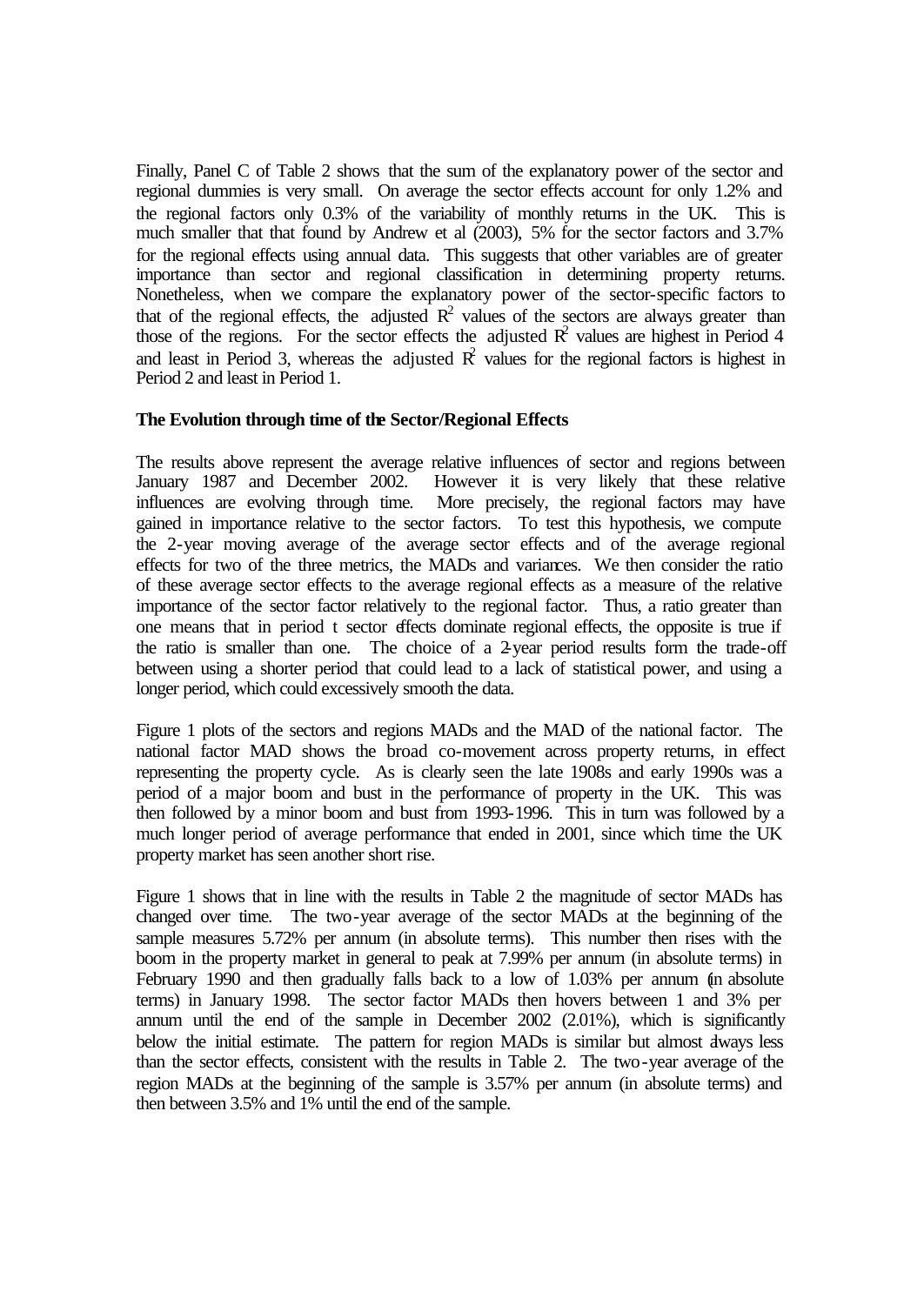Finally, Panel C of Table 2 shows that the sum of the explanatory power of the sector and regional dummies is very small. On average the sector effects account for only 1.2% and the regional factors only 0.3% of the variability of monthly returns in the UK. This is much smaller that that found by Andrew et al (2003), 5% for the sector factors and 3.7% for the regional effects using annual data. This suggests that other variables are of greater importance than sector and regional classification in determining property returns. Nonetheless, when we compare the explanatory power of the sector-specific factors to that of the regional effects, the adjusted  $R^2$  values of the sectors are always greater than those of the regions. For the sector effects the adjusted  $\mathbb{R}^2$  values are highest in Period 4 and least in Period 3, whereas the adjusted  $\mathbb{R}^2$  values for the regional factors is highest in Period 2 and least in Period 1.

#### **The Evolution through time of the Sector/Regional Effects**

The results above represent the average relative influences of sector and regions between January 1987 and December 2002. However it is very likely that these relative influences are evolving through time. More precisely, the regional factors may have gained in importance relative to the sector factors. To test this hypothesis, we compute the 2-year moving average of the average sector effects and of the average regional effects for two of the three metrics, the MADs and variances. We then consider the ratio of these average sector effects to the average regional effects as a measure of the relative importance of the sector factor relatively to the regional factor. Thus, a ratio greater than one means that in period t sector effects dominate regional effects, the opposite is true if the ratio is smaller than one. The choice of a 2-year period results form the trade-off between using a shorter period that could lead to a lack of statistical power, and using a longer period, which could excessively smooth the data.

Figure 1 plots of the sectors and regions MADs and the MAD of the national factor. The national factor MAD shows the broad co-movement across property returns, in effect representing the property cycle. As is clearly seen the late 1908s and early 1990s was a period of a major boom and bust in the performance of property in the UK. This was then followed by a minor boom and bust from 1993-1996. This in turn was followed by a much longer period of average performance that ended in 2001, since which time the UK property market has seen another short rise.

Figure 1 shows that in line with the results in Table 2 the magnitude of sector MADs has changed over time. The two-year average of the sector MADs at the beginning of the sample measures 5.72% per annum (in absolute terms). This number then rises with the boom in the property market in general to peak at 7.99% per annum (in absolute terms) in February 1990 and then gradually falls back to a low of 1.03% per annum (in absolute terms) in January 1998. The sector factor MADs then hovers between 1 and 3% per annum until the end of the sample in December 2002 (2.01%), which is significantly below the initial estimate. The pattern for region MADs is similar but almost dways less than the sector effects, consistent with the results in Table 2. The two-year average of the region MADs at the beginning of the sample is 3.57% per annum (in absolute terms) and then between 3.5% and 1% until the end of the sample.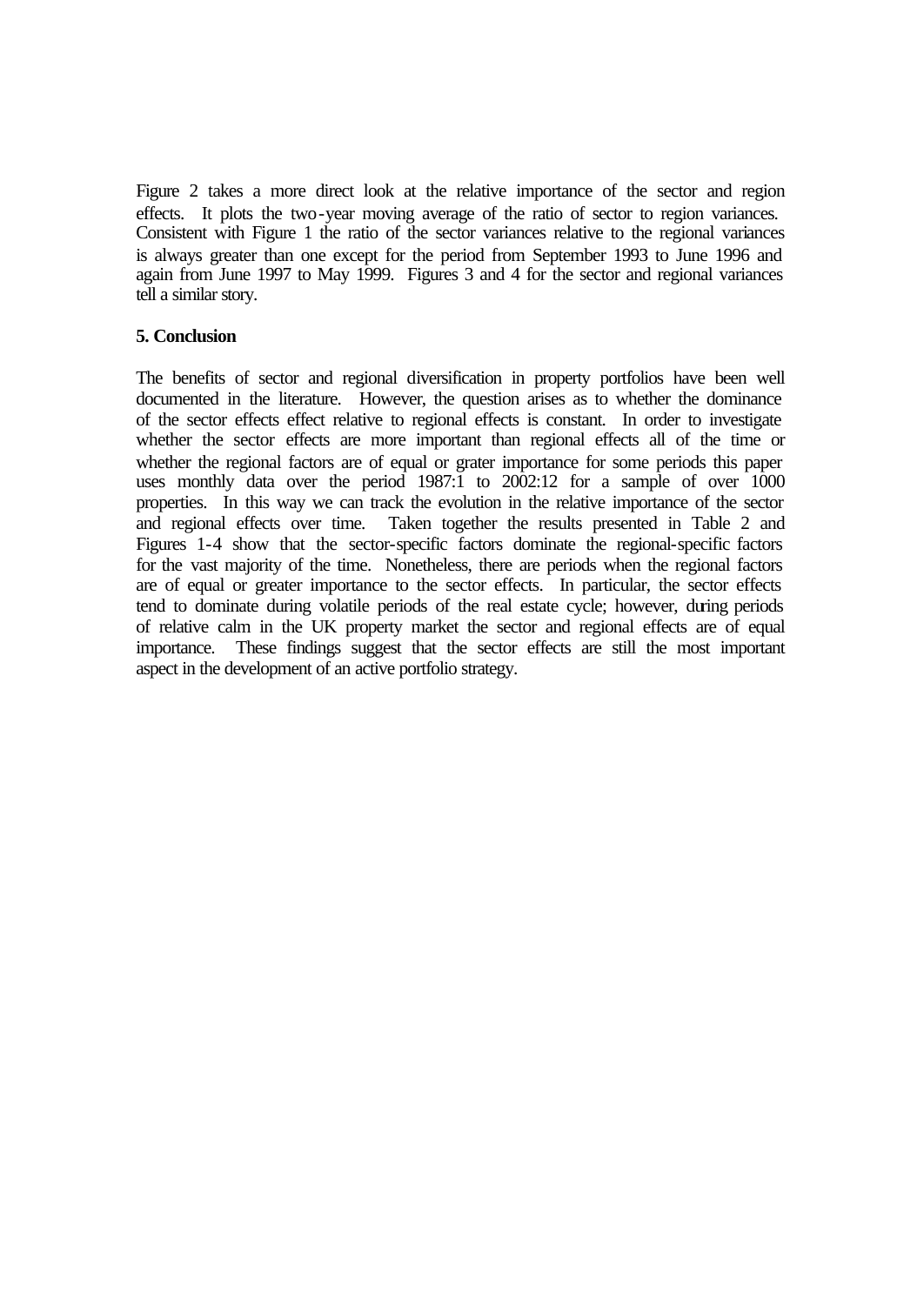Figure 2 takes a more direct look at the relative importance of the sector and region effects. It plots the two-year moving average of the ratio of sector to region variances. Consistent with Figure 1 the ratio of the sector variances relative to the regional variances is always greater than one except for the period from September 1993 to June 1996 and again from June 1997 to May 1999. Figures 3 and 4 for the sector and regional variances tell a similar story.

#### **5. Conclusion**

The benefits of sector and regional diversification in property portfolios have been well documented in the literature. However, the question arises as to whether the dominance of the sector effects effect relative to regional effects is constant. In order to investigate whether the sector effects are more important than regional effects all of the time or whether the regional factors are of equal or grater importance for some periods this paper uses monthly data over the period 1987:1 to 2002:12 for a sample of over 1000 properties. In this way we can track the evolution in the relative importance of the sector and regional effects over time. Taken together the results presented in Table 2 and Figures 1-4 show that the sector-specific factors dominate the regional-specific factors for the vast majority of the time. Nonetheless, there are periods when the regional factors are of equal or greater importance to the sector effects. In particular, the sector effects tend to dominate during volatile periods of the real estate cycle; however, during periods of relative calm in the UK property market the sector and regional effects are of equal importance. These findings suggest that the sector effects are still the most important aspect in the development of an active portfolio strategy.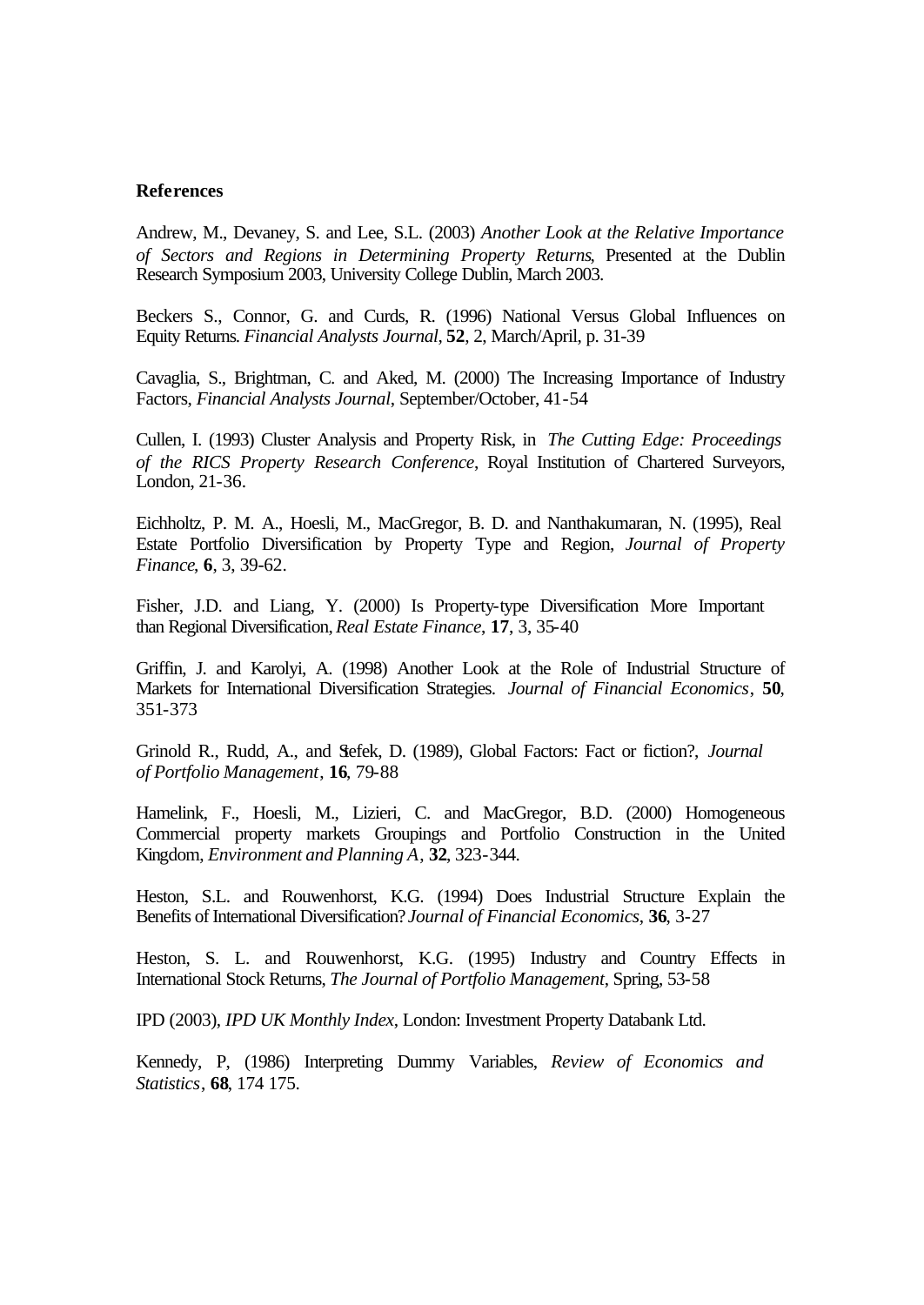#### **References**

Andrew, M., Devaney, S. and Lee, S.L. (2003) *Another Look at the Relative Importance of Sectors and Regions in Determining Property Returns*, Presented at the Dublin Research Symposium 2003, University College Dublin, March 2003.

Beckers S., Connor, G. and Curds, R. (1996) National Versus Global Influences on Equity Returns. *Financial Analysts Journal*, **52**, 2, March/April, p. 31-39

Cavaglia, S., Brightman, C. and Aked, M. (2000) The Increasing Importance of Industry Factors, *Financial Analysts Journal*, September/October, 41-54

Cullen, I. (1993) Cluster Analysis and Property Risk, in *The Cutting Edge: Proceedings of the RICS Property Research Conference*, Royal Institution of Chartered Surveyors, London, 21-36.

Eichholtz, P. M. A., Hoesli, M., MacGregor, B. D. and Nanthakumaran, N. (1995), Real Estate Portfolio Diversification by Property Type and Region, *Journal of Property Finance*, **6**, 3, 39-62.

Fisher, J.D. and Liang, Y. (2000) Is Property-type Diversification More Important than Regional Diversification, *Real Estate Finance*, **17**, 3, 35-40

Griffin, J. and Karolyi, A. (1998) Another Look at the Role of Industrial Structure of Markets for International Diversification Strategies. *Journal of Financial Economics*, **50**, 351-373

Grinold R., Rudd, A., and Stefek, D. (1989), Global Factors: Fact or fiction?, *Journal of Portfolio Management*, **16**, 79-88

Hamelink, F., Hoesli, M., Lizieri, C. and MacGregor, B.D. (2000) Homogeneous Commercial property markets Groupings and Portfolio Construction in the United Kingdom, *Environment and Planning A*, **32**, 323-344.

Heston, S.L. and Rouwenhorst, K.G. (1994) Does Industrial Structure Explain the Benefits of International Diversification? *Journal of Financial Economics*, **36**, 3-27

Heston, S. L. and Rouwenhorst, K.G. (1995) Industry and Country Effects in International Stock Returns, *The Journal of Portfolio Management*, Spring, 53-58

IPD (2003), *IPD UK Monthly Index*, London: Investment Property Databank Ltd.

Kennedy, P, (1986) Interpreting Dummy Variables, *Review of Economics and Statistics*, **68**, 174 175.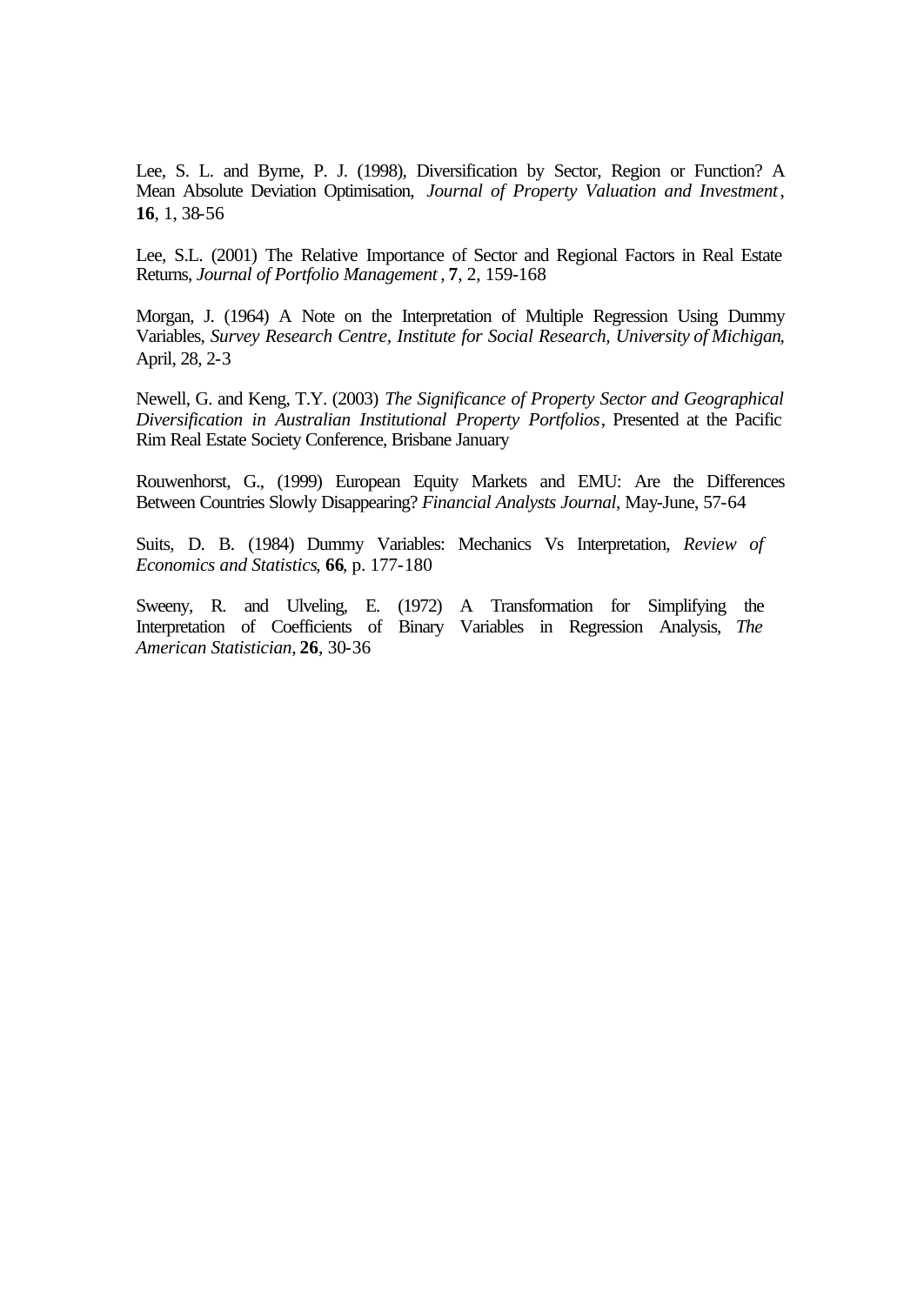Lee, S. L. and Byrne, P. J. (1998), Diversification by Sector, Region or Function? A Mean Absolute Deviation Optimisation, *Journal of Property Valuation and Investment*, **16**, 1, 38-56

Lee, S.L. (2001) The Relative Importance of Sector and Regional Factors in Real Estate Returns, *Journal of Portfolio Management* , **7**, 2, 159-168

Morgan, J. (1964) A Note on the Interpretation of Multiple Regression Using Dummy Variables, *Survey Research Centre, Institute for Social Research, University of Michigan*, April, 28, 2-3

Newell, G. and Keng, T.Y. (2003) *The Significance of Property Sector and Geographical Diversification in Australian Institutional Property Portfolios*, Presented at the Pacific Rim Real Estate Society Conference, Brisbane January

Rouwenhorst, G., (1999) European Equity Markets and EMU: Are the Differences Between Countries Slowly Disappearing? *Financial Analysts Journal*, May-June, 57-64

Suits, D. B. (1984) Dummy Variables: Mechanics Vs Interpretation, *Review of Economics and Statistics*, **66**, p. 177-180

Sweeny, R. and Ulveling, E. (1972) A Transformation for Simplifying the Interpretation of Coefficients of Binary Variables in Regression Analysis, *The American Statistician*, **26**, 30-36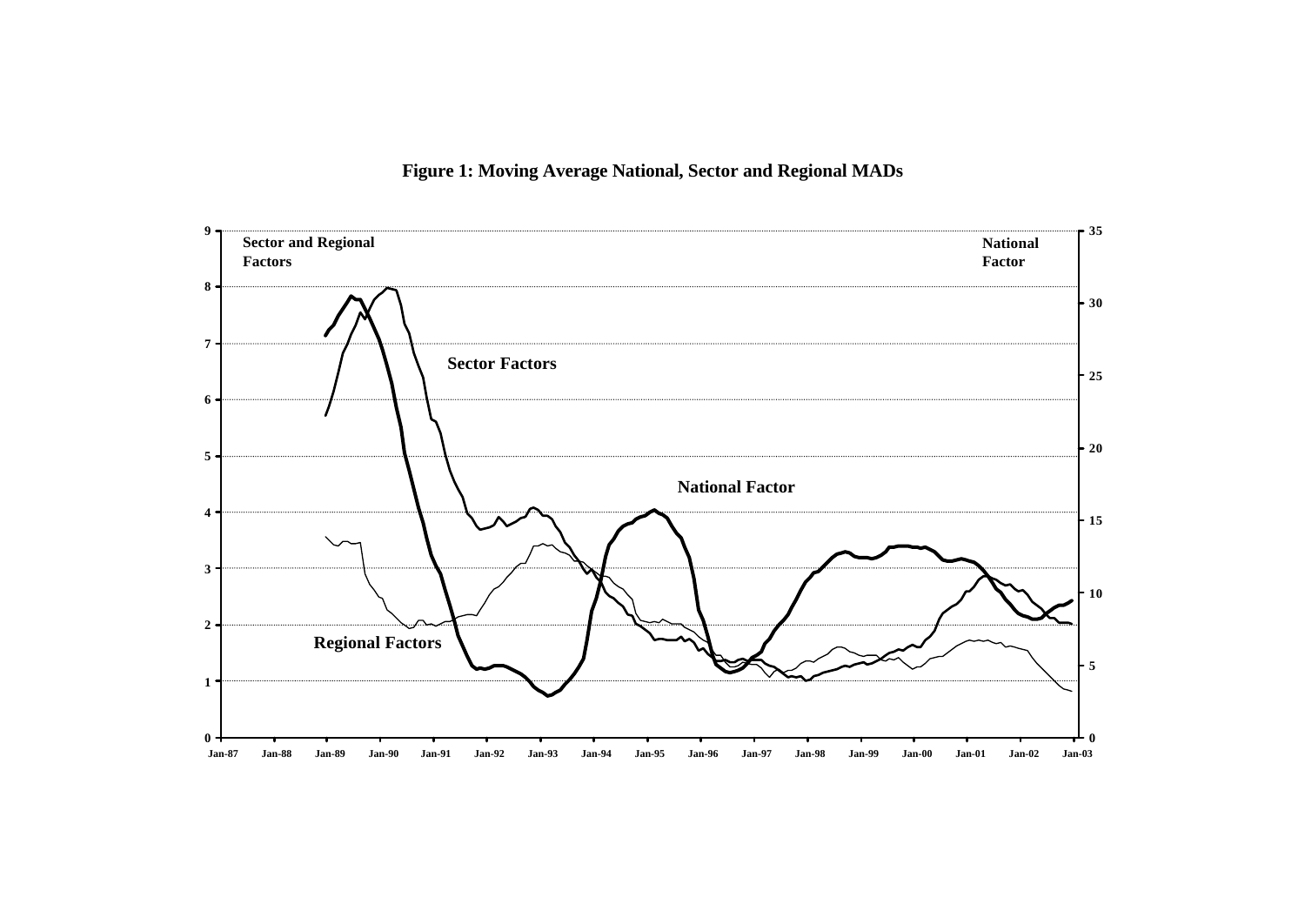

**Figure 1: Moving Average National, Sector and Regional MADs**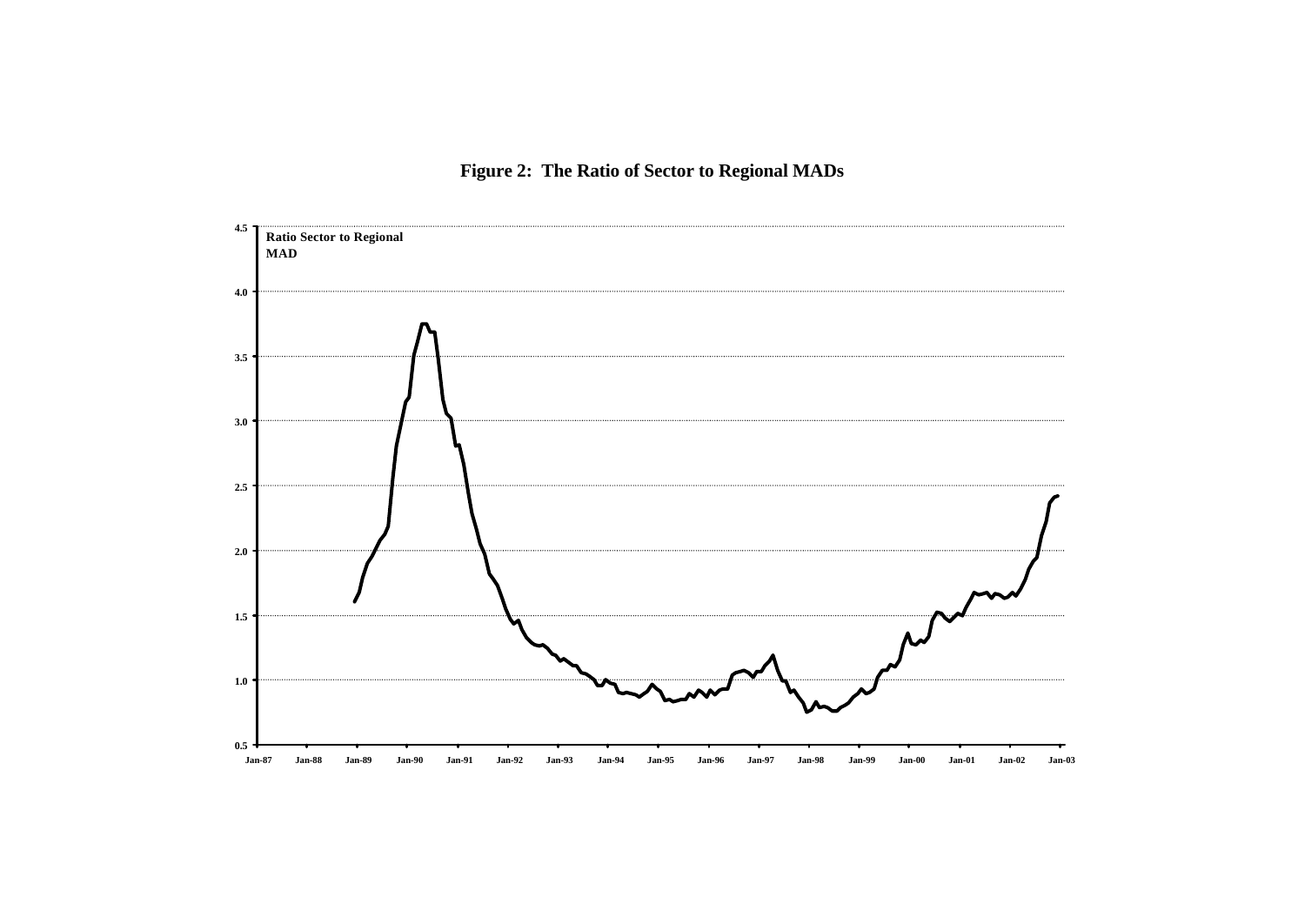# **Figure 2: The Ratio of Sector to Regional MADs**

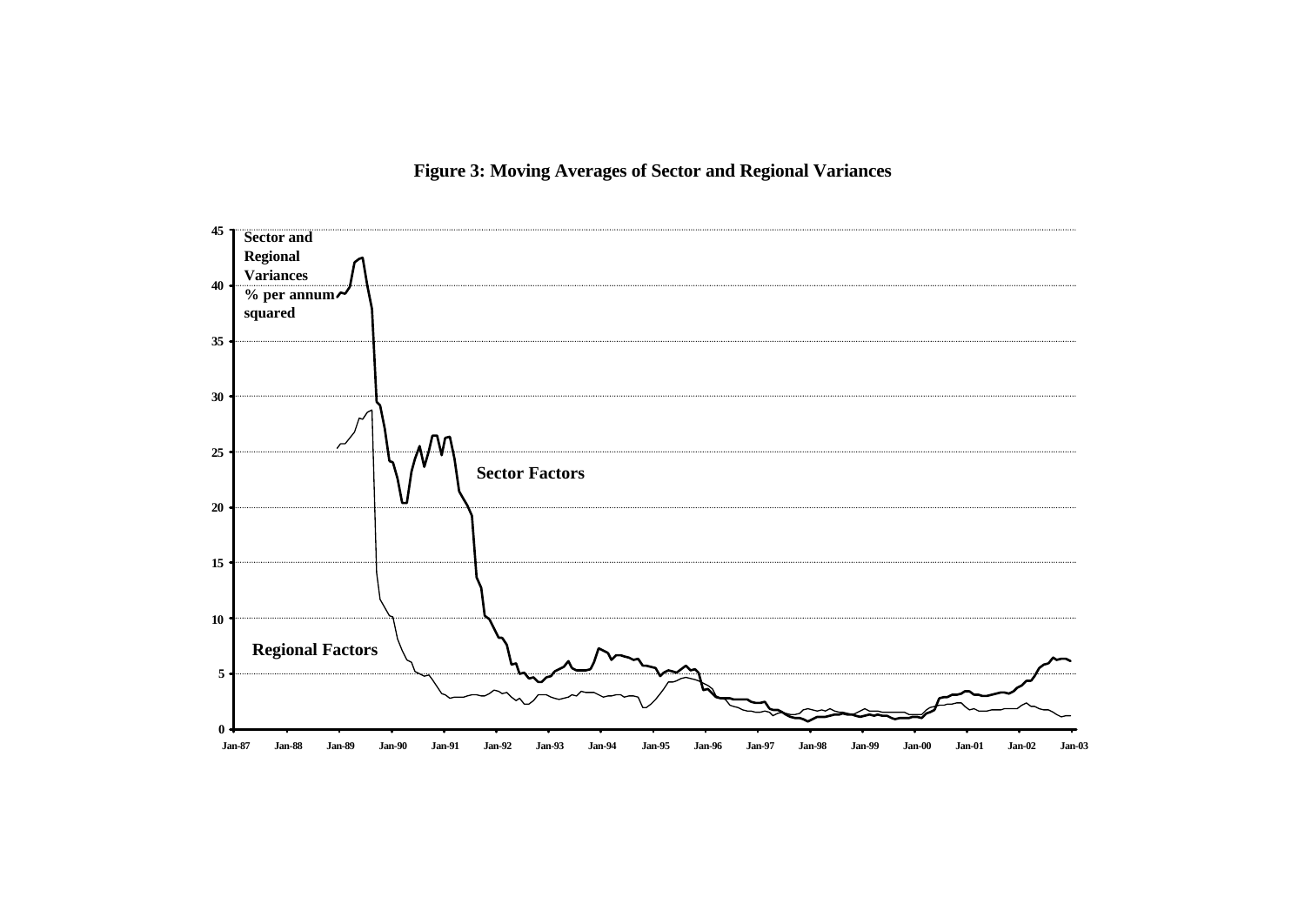# **Sector and Regional Variances % per annum squared** M **Sector Factors**

**25**

**30**

**35**

**40**

**45**

# **Figure 3: Moving Averages of Sector and Regional Variances**